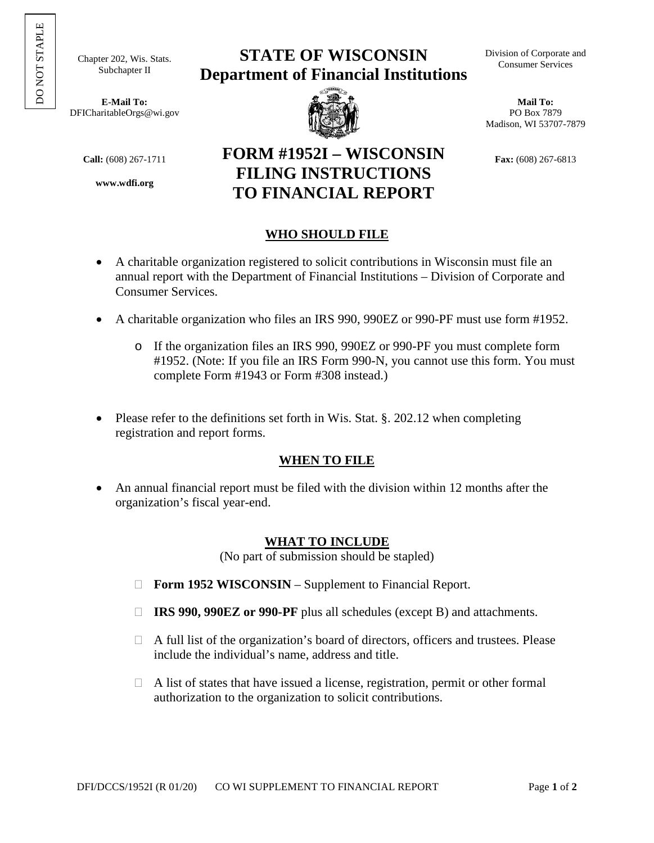Chapter 202, Wis. Stats. Subchapter II

**E-Mail To:** DFICharitableOrgs@wi.gov

**www.wdfi.org**

# **STATE OF WISCONSIN Department of Financial Institutions**



**FILING INSTRUCTIONS TO FINANCIAL REPORT**  Division of Corporate and Consumer Services

**Mail To:**  PO Box 7879 Madison, WI 53707-7879

**FORM #1952I – WISCONSIN Fax:** (608) 267-6813

## **WHO SHOULD FILE**

- A charitable organization registered to solicit contributions in Wisconsin must file an annual report with the Department of Financial Institutions – Division of Corporate and Consumer Services.
- A charitable organization who files an IRS 990, 990EZ or 990-PF must use form #1952.
	- o If the organization files an IRS 990, 990EZ or 990-PF you must complete form #1952. (Note: If you file an IRS Form 990-N, you cannot use this form. You must complete Form #1943 or Form #308 instead.)
- Please refer to the definitions set forth in Wis. Stat. §. 202.12 when completing registration and report forms.

### **WHEN TO FILE**

 An annual financial report must be filed with the division within 12 months after the organization's fiscal year-end.

### **WHAT TO INCLUDE**

(No part of submission should be stapled)

- □ **Form 1952 WISCONSIN** Supplement to Financial Report.
- **IRS 990, 990EZ or 990-PF** plus all schedules (except B) and attachments.
- $\Box$  A full list of the organization's board of directors, officers and trustees. Please include the individual's name, address and title.
- $\Box$  A list of states that have issued a license, registration, permit or other formal authorization to the organization to solicit contributions.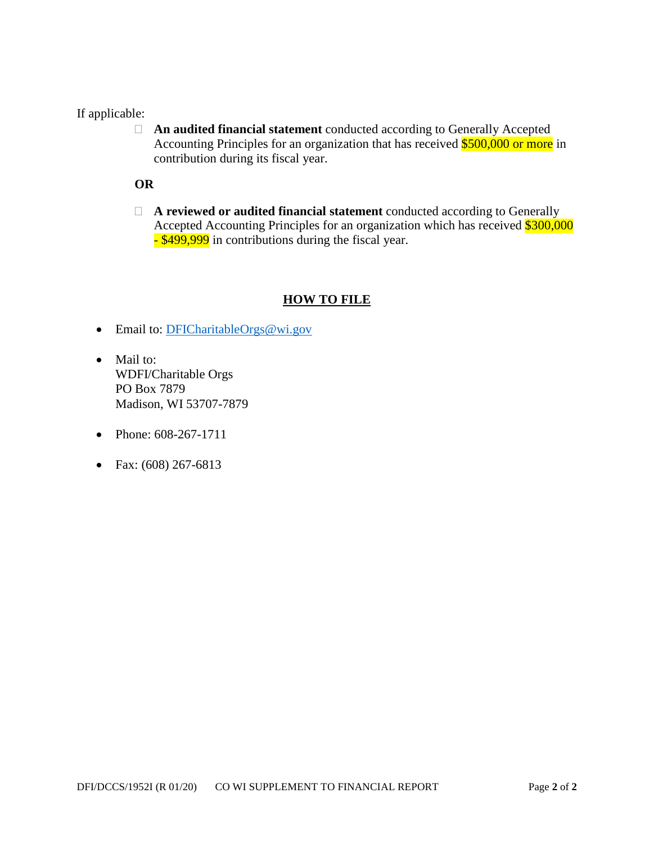### If applicable:

 **An audited financial statement** conducted according to Generally Accepted Accounting Principles for an organization that has received \$500,000 or more in contribution during its fiscal year.

### **OR**

 **A reviewed or audited financial statement** conducted according to Generally Accepted Accounting Principles for an organization which has received \$300,000 - \$499,999 in contributions during the fiscal year.

### **HOW TO FILE**

- Email to: [DFICharitableOrgs@wi.gov](mailto:DFICharitableOrgs@wi.gov)
- Mail to: WDFI/Charitable Orgs PO Box 7879 Madison, WI 53707-7879
- Phone: 608-267-1711
- Fax:  $(608)$  267-6813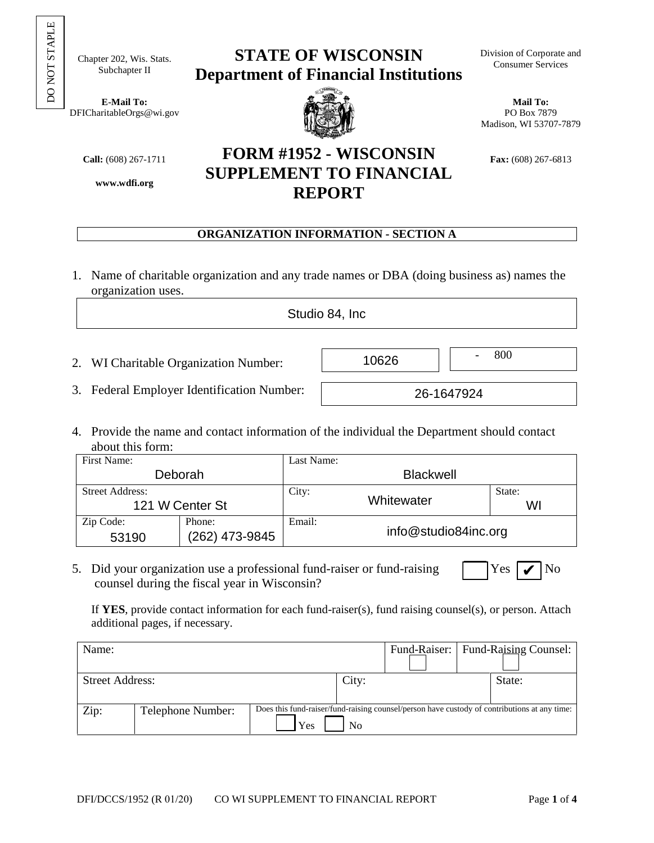$_{\rm O}$ NOT ST APLE

Chapter 202, Wis. Stats. Subchapter II

**E-Mail To:** DFICharitableOrgs@wi.gov

**www.wdfi.org**

# **STATE OF WISCONSIN Department of Financial Institutions**



**SUPPLEMENT TO FINANCIAL REPORT** 

**Mail To:**  PO Box 7879 Madison, WI 53707-7879

**FORM #1952 - WISCONSIN Fax:** (608) 267-6813

# **ORGANIZATION INFORMATION - SECTION A**

1. Name of charitable organization and any trade names or DBA (doing business as) names the organization uses.

Studio 84, Inc.

 $10626$   $800$ 

26-1647924

- 2. WI Charitable Organization Number:
- 3. Federal Employer Identification Number:
- 4. Provide the name and contact information of the individual the Department should contact about this form:

| First Name:                               |                          | Last Name:       |                      |              |  |  |
|-------------------------------------------|--------------------------|------------------|----------------------|--------------|--|--|
|                                           | Deborah                  | <b>Blackwell</b> |                      |              |  |  |
| <b>Street Address:</b><br>121 W Center St |                          | City:            | Whitewater           | State:<br>WI |  |  |
| Zip Code:<br>53190                        | Phone:<br>(262) 473-9845 | Email:           | info@studio84inc.org |              |  |  |

5. Did your organization use a professional fund-raiser or fund-raising  $\blacksquare$  Yes counsel during the fiscal year in Wisconsin?

 $\blacksquare$  No

If **YES**, provide contact information for each fund-raiser(s), fund raising counsel(s), or person. Attach additional pages, if necessary.

| Name:                  |                   |                                                                                                           |       |  | Fund-Raiser:   Fund-Raising Counsel: |  |
|------------------------|-------------------|-----------------------------------------------------------------------------------------------------------|-------|--|--------------------------------------|--|
| <b>Street Address:</b> |                   |                                                                                                           | City: |  | State:                               |  |
| Zip:                   | Telephone Number: | Does this fund-raiser/fund-raising counsel/person have custody of contributions at any time:<br>Yes<br>No |       |  |                                      |  |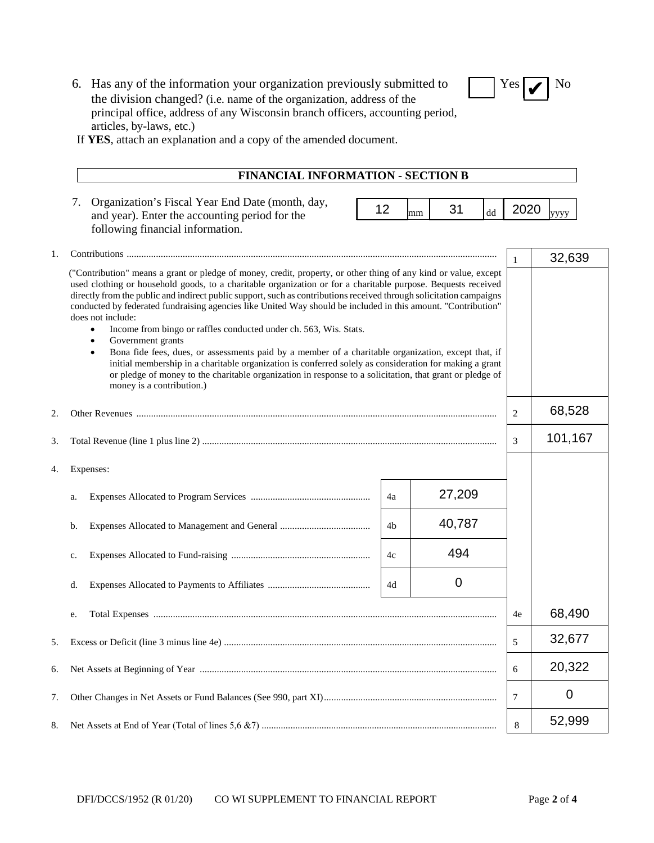| 6. Has any of the information your organization previously submitted to        | $\sqrt{\frac{Y_{\text{cs}}}{Y}}$ No |  |
|--------------------------------------------------------------------------------|-------------------------------------|--|
| the division changed? (i.e. name of the organization, address of the           |                                     |  |
| principal office, address of any Wisconsin branch officers, accounting period, |                                     |  |
| articles, by-laws, etc.)                                                       |                                     |  |



If **YES**, attach an explanation and a copy of the amended document.

| <b>FINANCIAL INFORMATION - SECTION B</b>                                                                                                                                                                                                                                                                                                                                                                                                                                                                                                                                                                                                                                                                                                                                                                                                                                                                                                                                          |    |    |        |                        |         |        |
|-----------------------------------------------------------------------------------------------------------------------------------------------------------------------------------------------------------------------------------------------------------------------------------------------------------------------------------------------------------------------------------------------------------------------------------------------------------------------------------------------------------------------------------------------------------------------------------------------------------------------------------------------------------------------------------------------------------------------------------------------------------------------------------------------------------------------------------------------------------------------------------------------------------------------------------------------------------------------------------|----|----|--------|------------------------|---------|--------|
| Organization's Fiscal Year End Date (month, day,<br>7.<br>and year). Enter the accounting period for the<br>following financial information.                                                                                                                                                                                                                                                                                                                                                                                                                                                                                                                                                                                                                                                                                                                                                                                                                                      | 12 | mm | 31     | $\mathrm{d}\mathrm{d}$ | 2020    | уууу   |
|                                                                                                                                                                                                                                                                                                                                                                                                                                                                                                                                                                                                                                                                                                                                                                                                                                                                                                                                                                                   |    |    |        |                        | 1       | 32,639 |
| ("Contribution" means a grant or pledge of money, credit, property, or other thing of any kind or value, except<br>used clothing or household goods, to a charitable organization or for a charitable purpose. Bequests received<br>directly from the public and indirect public support, such as contributions received through solicitation campaigns<br>conducted by federated fundraising agencies like United Way should be included in this amount. "Contribution"<br>does not include:<br>Income from bingo or raffles conducted under ch. 563, Wis. Stats.<br>٠<br>Government grants<br>$\bullet$<br>Bona fide fees, dues, or assessments paid by a member of a charitable organization, except that, if<br>$\bullet$<br>initial membership in a charitable organization is conferred solely as consideration for making a grant<br>or pledge of money to the charitable organization in response to a solicitation, that grant or pledge of<br>money is a contribution.) |    |    |        |                        |         |        |
|                                                                                                                                                                                                                                                                                                                                                                                                                                                                                                                                                                                                                                                                                                                                                                                                                                                                                                                                                                                   |    |    |        |                        | 2       | 68,528 |
|                                                                                                                                                                                                                                                                                                                                                                                                                                                                                                                                                                                                                                                                                                                                                                                                                                                                                                                                                                                   |    |    |        | 3                      | 101,167 |        |
| Expenses:                                                                                                                                                                                                                                                                                                                                                                                                                                                                                                                                                                                                                                                                                                                                                                                                                                                                                                                                                                         |    |    |        |                        |         |        |
| a.                                                                                                                                                                                                                                                                                                                                                                                                                                                                                                                                                                                                                                                                                                                                                                                                                                                                                                                                                                                | 4a |    | 27,209 |                        |         |        |
| b.                                                                                                                                                                                                                                                                                                                                                                                                                                                                                                                                                                                                                                                                                                                                                                                                                                                                                                                                                                                | 4b |    | 40,787 |                        |         |        |
| c.                                                                                                                                                                                                                                                                                                                                                                                                                                                                                                                                                                                                                                                                                                                                                                                                                                                                                                                                                                                | 4c |    | 494    |                        |         |        |
| d.                                                                                                                                                                                                                                                                                                                                                                                                                                                                                                                                                                                                                                                                                                                                                                                                                                                                                                                                                                                | 4d |    | 0      |                        |         |        |
| e.                                                                                                                                                                                                                                                                                                                                                                                                                                                                                                                                                                                                                                                                                                                                                                                                                                                                                                                                                                                |    |    |        |                        | 4e      | 68,490 |
|                                                                                                                                                                                                                                                                                                                                                                                                                                                                                                                                                                                                                                                                                                                                                                                                                                                                                                                                                                                   |    |    | 5      | 32,677                 |         |        |
|                                                                                                                                                                                                                                                                                                                                                                                                                                                                                                                                                                                                                                                                                                                                                                                                                                                                                                                                                                                   |    |    |        | 6                      | 20,322  |        |
|                                                                                                                                                                                                                                                                                                                                                                                                                                                                                                                                                                                                                                                                                                                                                                                                                                                                                                                                                                                   |    |    |        | 7                      | 0       |        |
|                                                                                                                                                                                                                                                                                                                                                                                                                                                                                                                                                                                                                                                                                                                                                                                                                                                                                                                                                                                   |    |    |        | 8                      | 52,999  |        |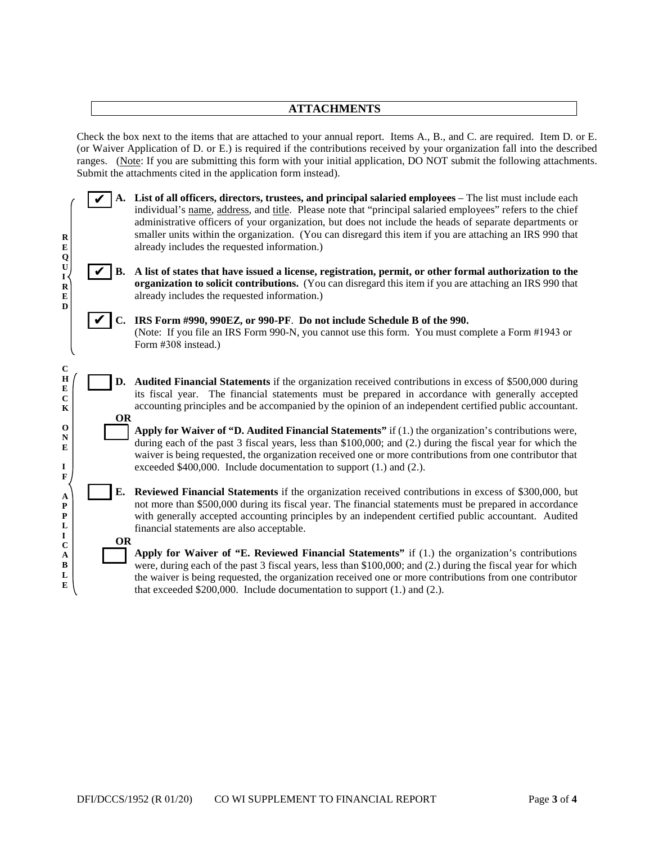#### **ATTACHMENTS**

Check the box next to the items that are attached to your annual report. Items A., B., and C. are required. Item D. or E. (or Waiver Application of D. or E.) is required if the contributions received by your organization fall into the described ranges. (Note: If you are submitting this form with your initial application, DO NOT submit the following attachments. Submit the attachments cited in the application form instead).

**A. List of all officers, directors, trustees, and principal salaried employees** – The list must include each individual's name, address, and title. Please note that "principal salaried employees" refers to the chief administrative officers of your organization, but does not include the heads of separate departments or smaller units within the organization. (You can disregard this item if you are attaching an IRS 990 that already includes the requested information.)

**B. A list of states that have issued a license, registration, permit, or other formal authorization to the organization to solicit contributions.** (You can disregard this item if you are attaching an IRS 990 that already includes the requested information.)

**OR** 

**R E Q U I R E D**  ✔

✔

**C H E C K O N E I F A P P L I C A B L E**  **C. IRS Form #990, 990EZ, or 990-PF**. **Do not include Schedule B of the 990.** ✔(Note: If you file an IRS Form 990-N, you cannot use this form. You must complete a Form #1943 or Form #308 instead.)

**D. Audited Financial Statements** if the organization received contributions in excess of \$500,000 during its fiscal year. The financial statements must be prepared in accordance with generally accepted accounting principles and be accompanied by the opinion of an independent certified public accountant. **OR** 

**Apply for Waiver of "D. Audited Financial Statements"** if (1.) the organization's contributions were, during each of the past 3 fiscal years, less than \$100,000; and  $(2)$  during the fiscal year for which the waiver is being requested, the organization received one or more contributions from one contributor that exceeded \$400,000. Include documentation to support (1.) and (2.).

**E. Reviewed Financial Statements** if the organization received contributions in excess of \$300,000, but not more than \$500,000 during its fiscal year. The financial statements must be prepared in accordance with generally accepted accounting principles by an independent certified public accountant. Audited financial statements are also acceptable.

**Apply for Waiver of "E. Reviewed Financial Statements"** if (1.) the organization's contributions were, during each of the past 3 fiscal years, less than \$100,000; and (2.) during the fiscal year for which the waiver is being requested, the organization received one or more contributions from one contributor that exceeded \$200,000. Include documentation to support (1.) and (2.).